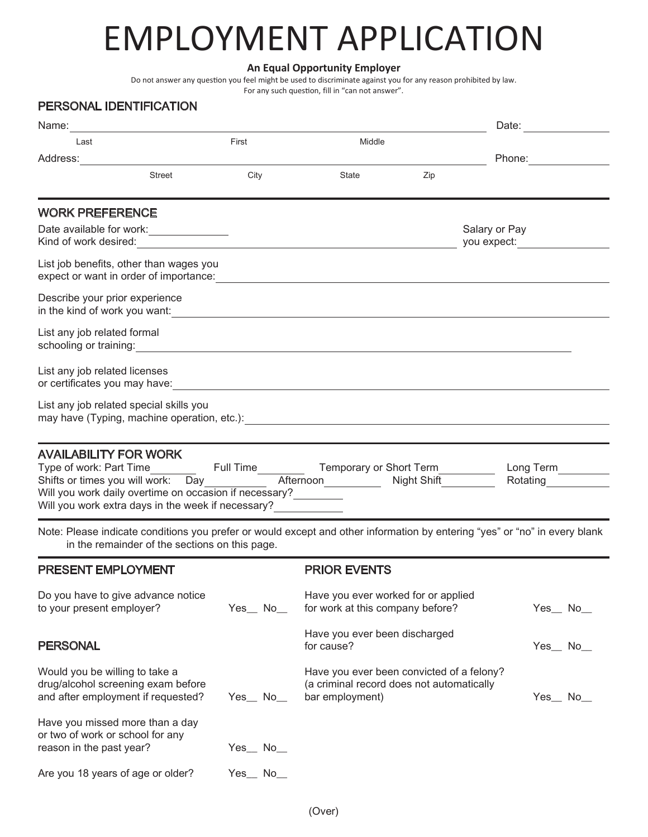# EMPLOYMENT APPLICATION

### **An Equal Opportunity Employer**

Do not answer any question you feel might be used to discriminate against you for any reason prohibited by law.

#### For any such question, fill in "can not answer".

## PERSONAL IDENTIFICATION

| Name:                                                                                                                                                                                                                                                                     |               |                                                                                                           | Date:                                                                                                                                                                                                                                          |  |
|---------------------------------------------------------------------------------------------------------------------------------------------------------------------------------------------------------------------------------------------------------------------------|---------------|-----------------------------------------------------------------------------------------------------------|------------------------------------------------------------------------------------------------------------------------------------------------------------------------------------------------------------------------------------------------|--|
| Last                                                                                                                                                                                                                                                                      | First         | Middle                                                                                                    |                                                                                                                                                                                                                                                |  |
| Address:                                                                                                                                                                                                                                                                  |               |                                                                                                           |                                                                                                                                                                                                                                                |  |
| <b>Street</b>                                                                                                                                                                                                                                                             | City          | State<br>Zip                                                                                              |                                                                                                                                                                                                                                                |  |
| <b>WORK PREFERENCE</b>                                                                                                                                                                                                                                                    |               |                                                                                                           |                                                                                                                                                                                                                                                |  |
| Kind of work desired: <u>contained</u> and the contact of the contact of the contact of the contact of the contact of the contact of the contact of the contact of the contact of the contact of the contact of the contact of the                                        |               |                                                                                                           | Salary or Pay<br>you expect: The control of the control of the control of the control of the control of the control of the control of the control of the control of the control of the control of the control of the control of the control of |  |
| List job benefits, other than wages you<br>expect or want in order of importance:<br><u> and the contract of contract of importance</u> :                                                                                                                                 |               |                                                                                                           |                                                                                                                                                                                                                                                |  |
| Describe your prior experience                                                                                                                                                                                                                                            |               |                                                                                                           |                                                                                                                                                                                                                                                |  |
| List any job related formal                                                                                                                                                                                                                                               |               |                                                                                                           |                                                                                                                                                                                                                                                |  |
| List any job related licenses                                                                                                                                                                                                                                             |               |                                                                                                           |                                                                                                                                                                                                                                                |  |
| List any job related special skills you<br>may have (Typing, machine operation, etc.): [2015] The manner of the control of the control of the control of the control of the control of the control of the control of the control of the control of the control of the con |               |                                                                                                           |                                                                                                                                                                                                                                                |  |
| Long Term<br><u> </u><br>Rotating <b>Exercise State</b><br>Will you work daily overtime on occasion if necessary?<br>Will you work extra days in the week if necessary?                                                                                                   |               |                                                                                                           |                                                                                                                                                                                                                                                |  |
| Note: Please indicate conditions you prefer or would except and other information by entering "yes" or "no" in every blank<br>in the remainder of the sections on this page.                                                                                              |               |                                                                                                           |                                                                                                                                                                                                                                                |  |
| <b>PRESENT EMPLOYMENT</b>                                                                                                                                                                                                                                                 |               | <b>PRIOR EVENTS</b>                                                                                       |                                                                                                                                                                                                                                                |  |
| Do you have to give advance notice<br>to your present employer?                                                                                                                                                                                                           | $Yes$ No $\_$ | Have you ever worked for or applied<br>for work at this company before?                                   | $Yes$ No_                                                                                                                                                                                                                                      |  |
| <b>PERSONAL</b>                                                                                                                                                                                                                                                           |               | Have you ever been discharged<br>for cause?                                                               | $Yes$ No                                                                                                                                                                                                                                       |  |
| Would you be willing to take a<br>drug/alcohol screening exam before<br>and after employment if requested?                                                                                                                                                                | Yes_No_       | Have you ever been convicted of a felony?<br>(a criminal record does not automatically<br>bar employment) | $Yes$ No_                                                                                                                                                                                                                                      |  |
| Have you missed more than a day<br>or two of work or school for any<br>reason in the past year?                                                                                                                                                                           | $Yes$ No_     |                                                                                                           |                                                                                                                                                                                                                                                |  |

Are you 18 years of age or older? Yes\_ No\_